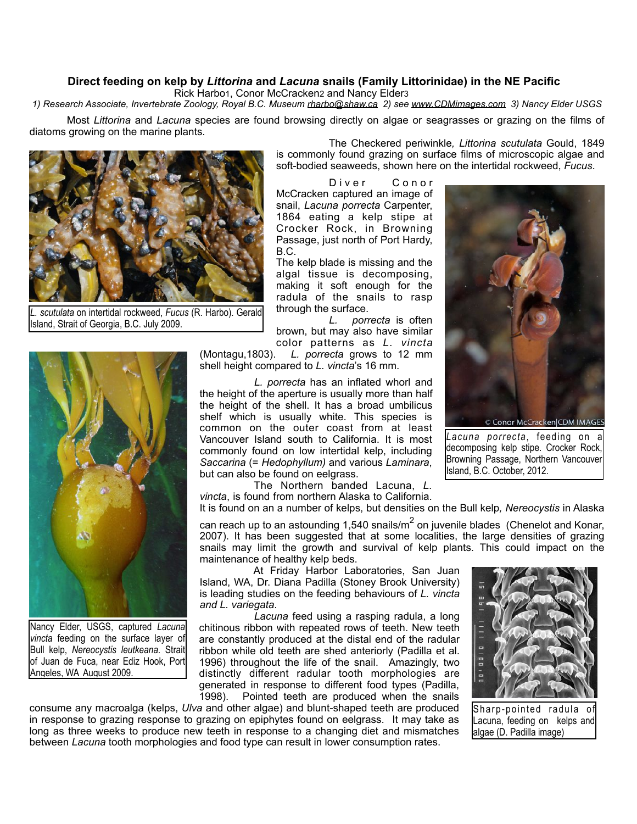## **Direct feeding on kelp by** *Littorina* **and** *Lacuna* **snails (Family Littorinidae) in the NE Pacific**

Rick Harbo1, Conor McCracken2 and Nancy Elder3

 *1) Research Associate, Invertebrate Zoology, Royal B.C. Museum [rharbo@shaw.ca](mailto:rharbo@shaw.ca) 2) see [www.CDMimages.com](http://www.CDMimages.com/) 3) Nancy Elder USGS*

 Most *Littorina* and *Lacuna* species are found browsing directly on algae or seagrasses or grazing on the films of diatoms growing on the marine plants.



*L. scutulata* on intertidal rockweed, *Fucus* (R. Harbo). Gerald Island, Strait of Georgia, B.C. July 2009.



Nancy Elder, USGS, captured *Lacuna vincta* feeding on the surface layer of Bull kelp, *Nereocystis leutkeana*. Strait of Juan de Fuca, near Ediz Hook, Port Angeles, WA August 2009.

 The Checkered periwinkle*, Littorina scutulata* Gould, 1849 is commonly found grazing on surface films of microscopic algae and soft-bodied seaweeds, shown here on the intertidal rockweed, *Fucus*.

Diver Conor McCracken captured an image of snail, *Lacuna porrecta* Carpenter, 1864 eating a kelp stipe at Crocker Rock, in Browning Passage, just north of Port Hardy, B.C.

The kelp blade is missing and the algal tissue is decomposing, making it soft enough for the radula of the snails to rasp through the surface.

*L. porrecta* is often brown, but may also have similar color patterns as *L. vincta*

(Montagu,1803). *L. porrecta* grows to 12 mm shell height compared to *L. vincta*'s 16 mm.

*L. porrecta* has an inflated whorl and the height of the aperture is usually more than half the height of the shell. It has a broad umbilicus shelf which is usually white. This species is common on the outer coast from at least Vancouver Island south to California. It is most commonly found on low intertidal kelp, including *Saccarina* (= *Hedophyllum)* and various *Laminara*, but can also be found on eelgrass.

 The Northern banded Lacuna, *L. vincta*, is found from northern Alaska to California. It is found on an a number of kelps, but densities on the Bull kelp*, Nereocystis* in Alaska

can reach up to an astounding 1,540 snails/ $m^2$  on juvenile blades (Chenelot and Konar, 2007). It has been suggested that at some localities, the large densities of grazing snails may limit the growth and survival of kelp plants. This could impact on the maintenance of healthy kelp beds.

 At Friday Harbor Laboratories, San Juan Island, WA, Dr. Diana Padilla (Stoney Brook University) is leading studies on the feeding behaviours of *L. vincta and L. variegata*.

*Lacuna* feed using a rasping radula, a long chitinous ribbon with repeated rows of teeth. New teeth are constantly produced at the distal end of the radular ribbon while old teeth are shed anteriorly (Padilla et al. 1996) throughout the life of the snail. Amazingly, two distinctly different radular tooth morphologies are generated in response to different food types (Padilla, 1998). Pointed teeth are produced when the snails

consume any macroalga (kelps, *Ulva* and other algae) and blunt-shaped teeth are produced in response to grazing response to grazing on epiphytes found on eelgrass. It may take as long as three weeks to produce new teeth in response to a changing diet and mismatches between *Lacuna* tooth morphologies and food type can result in lower consumption rates.



Sharp-pointed radula of Lacuna, feeding on kelps and algae (D. Padilla image)



*Lacuna porrecta*, feeding on a decomposing kelp stipe. Crocker Rock, Browning Passage, Northern Vancouver Island, B.C. October, 2012.